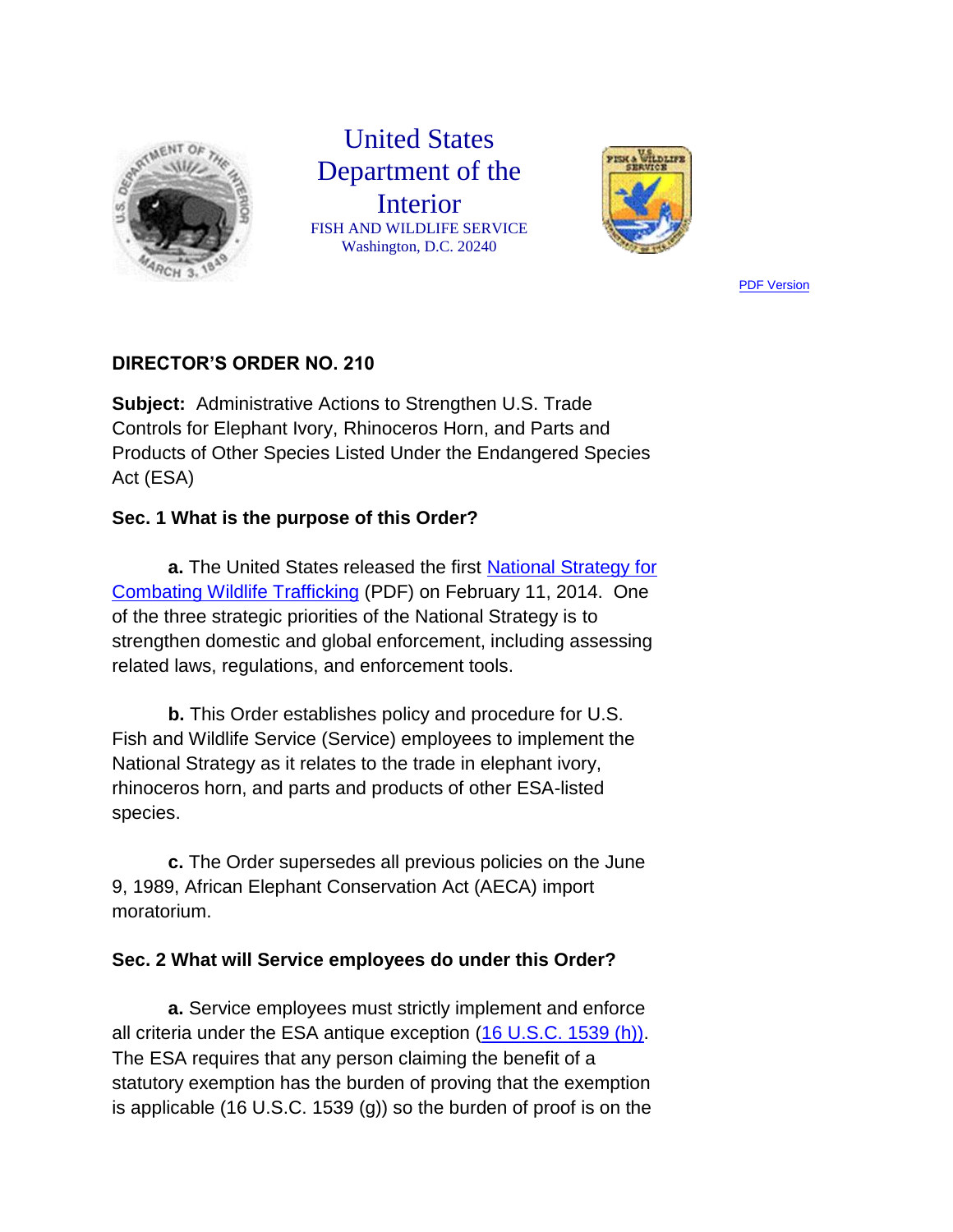

# United States Department of the Interior FISH AND WILDLIFE SERVICE Washington, D.C. 20240



**[PDF Version](http://www.fws.gov/policy/do210.pdf)** 

## **DIRECTOR'S ORDER NO. 210**

**Subject:** Administrative Actions to Strengthen U.S. Trade Controls for Elephant Ivory, Rhinoceros Horn, and Parts and Products of Other Species Listed Under the Endangered Species Act (ESA)

### **Sec. 1 What is the purpose of this Order?**

**a.** The United States released the first [National Strategy for](http://www.fws.gov/home/feature/2014/trafficking/national-strategy-wildlife-trafficking.pdf)  [Combating Wildlife Trafficking](http://www.fws.gov/home/feature/2014/trafficking/national-strategy-wildlife-trafficking.pdf) (PDF) on February 11, 2014. One of the three strategic priorities of the National Strategy is to strengthen domestic and global enforcement, including assessing related laws, regulations, and enforcement tools.

**b.** This Order establishes policy and procedure for U.S. Fish and Wildlife Service (Service) employees to implement the National Strategy as it relates to the trade in elephant ivory, rhinoceros horn, and parts and products of other ESA-listed species.

**c.** The Order supersedes all previous policies on the June 9, 1989, African Elephant Conservation Act (AECA) import moratorium.

### **Sec. 2 What will Service employees do under this Order?**

**a.** Service employees must strictly implement and enforce all criteria under the ESA antique exception [\(16 U.S.C. 1539 \(h\)\).](http://uscode.house.gov/search/criteria.shtml) The ESA requires that any person claiming the benefit of a statutory exemption has the burden of proving that the exemption is applicable (16 U.S.C. 1539 (g)) so the burden of proof is on the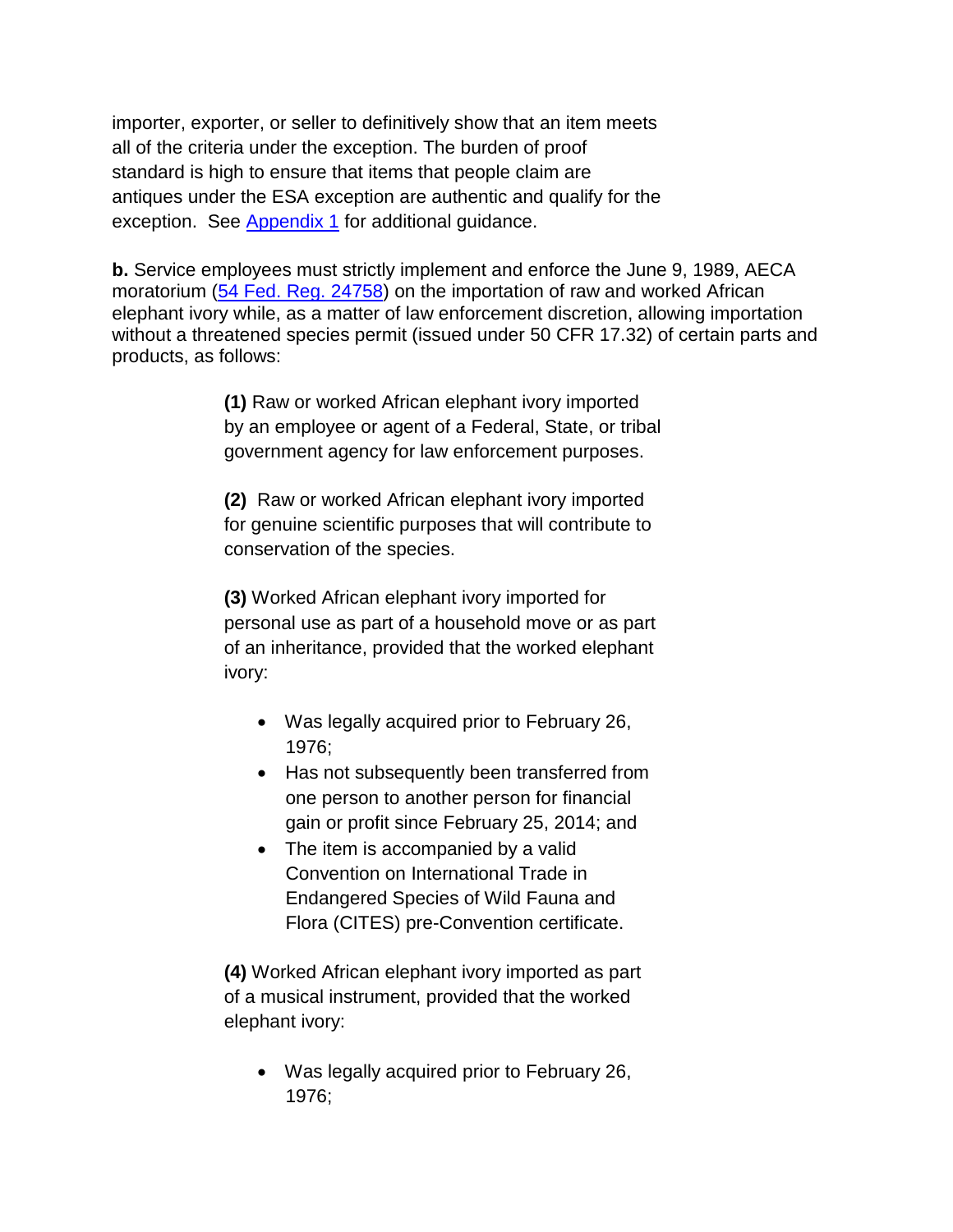importer, exporter, or seller to definitively show that an item meets all of the criteria under the exception. The burden of proof standard is high to ensure that items that people claim are antiques under the ESA exception are authentic and qualify for the exception. See [Appendix 1](http://www.fws.gov/policy/do210A1.pdf) for additional guidance.

**b.** Service employees must strictly implement and enforce the June 9, 1989, AECA moratorium [\(54 Fed. Reg. 24758\)](http://ecos.fws.gov/speciesProfile/profile/speciesProfile.action?spcode=A07U) on the importation of raw and worked African elephant ivory while, as a matter of law enforcement discretion, allowing importation without a threatened species permit (issued under 50 CFR 17.32) of certain parts and products, as follows:

> **(1)** Raw or worked African elephant ivory imported by an employee or agent of a Federal, State, or tribal government agency for law enforcement purposes.

**(2)** Raw or worked African elephant ivory imported for genuine scientific purposes that will contribute to conservation of the species.

**(3)** Worked African elephant ivory imported for personal use as part of a household move or as part of an inheritance, provided that the worked elephant ivory:

- Was legally acquired prior to February 26, 1976;
- Has not subsequently been transferred from one person to another person for financial gain or profit since February 25, 2014; and
- The item is accompanied by a valid Convention on International Trade in Endangered Species of Wild Fauna and Flora (CITES) pre-Convention certificate.

**(4)** Worked African elephant ivory imported as part of a musical instrument, provided that the worked elephant ivory:

 Was legally acquired prior to February 26, 1976;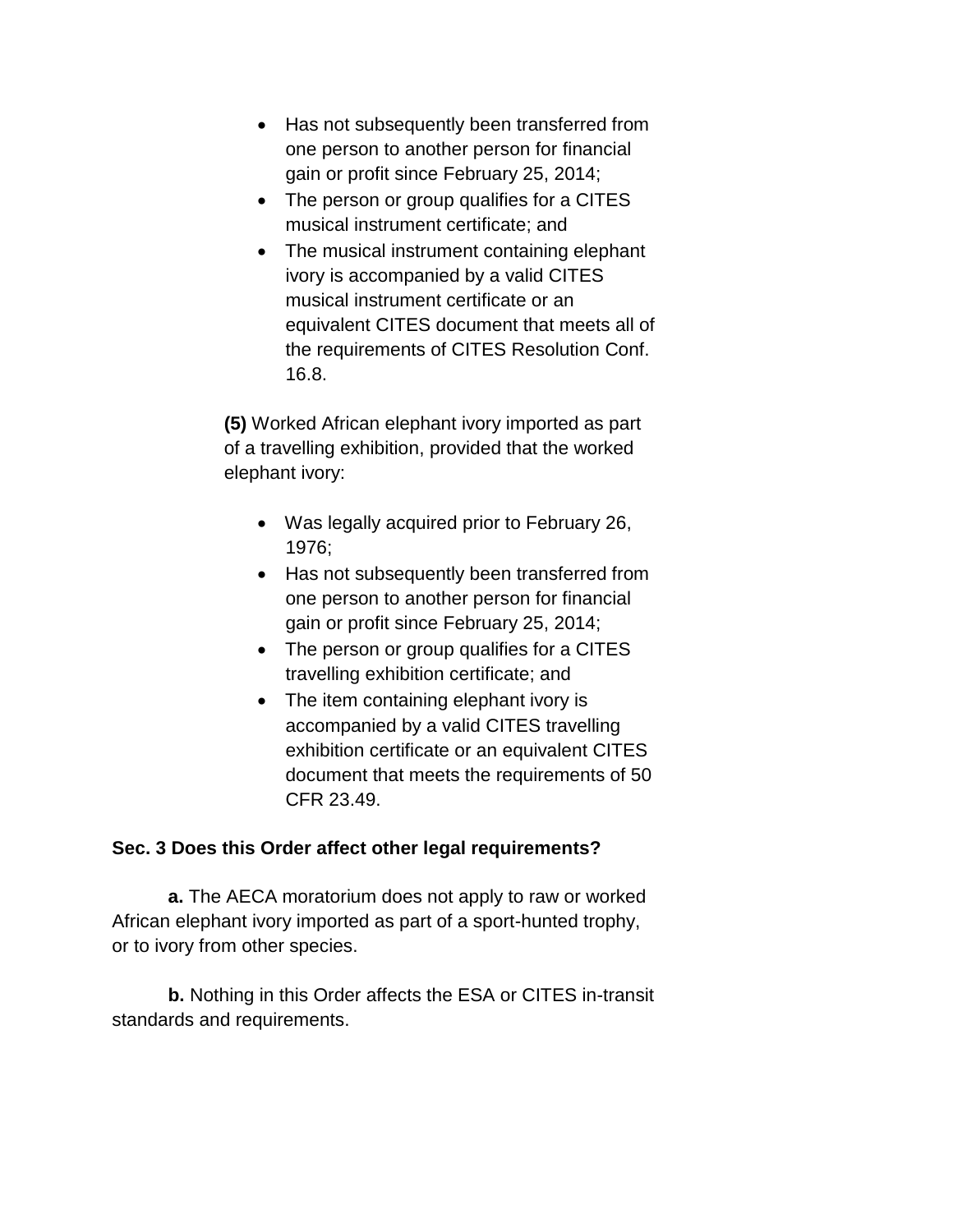- Has not subsequently been transferred from one person to another person for financial gain or profit since February 25, 2014;
- The person or group qualifies for a CITES musical instrument certificate; and
- The musical instrument containing elephant ivory is accompanied by a valid CITES musical instrument certificate or an equivalent CITES document that meets all of the requirements of CITES Resolution Conf. 16.8.

**(5)** Worked African elephant ivory imported as part of a travelling exhibition, provided that the worked elephant ivory:

- Was legally acquired prior to February 26, 1976;
- Has not subsequently been transferred from one person to another person for financial gain or profit since February 25, 2014;
- The person or group qualifies for a CITES travelling exhibition certificate; and
- The item containing elephant ivory is accompanied by a valid CITES travelling exhibition certificate or an equivalent CITES document that meets the requirements of 50 CFR 23.49.

### **Sec. 3 Does this Order affect other legal requirements?**

**a.** The AECA moratorium does not apply to raw or worked African elephant ivory imported as part of a sport-hunted trophy, or to ivory from other species.

**b.** Nothing in this Order affects the ESA or CITES in-transit standards and requirements.